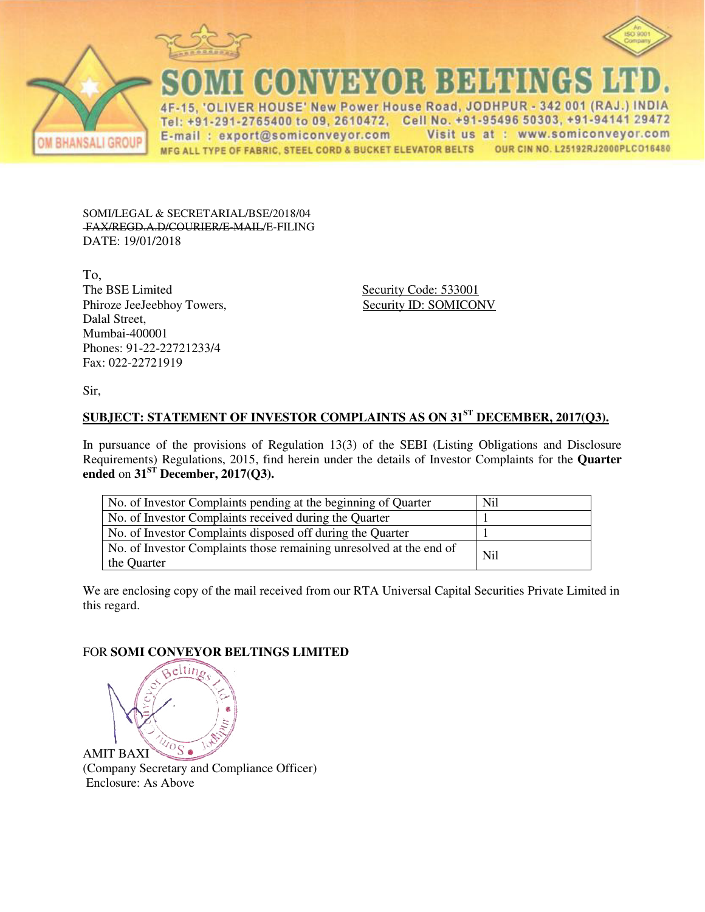



**CONVEYOR BELTINGS** 

IVER HOUSE' New Power House Road, JODHPUR - 342 001 (RAJ.) INDIA  $\Delta F$ Tel: +91-291-2765400 to 09, 2610472, Cell No. +91-95496 50303, +91-94141 29472 Visit us at : www.somiconveyor.com E-mail: export@somiconveyor.com OUR CIN NO. L25192RJ2000PLCO16480 MFG ALL TYPE OF FABRIC, STEEL CORD & BUCKET ELEVATOR BELTS

SOMI/LEGAL & SECRETARIAL/BSE/2018/04 FAX/REGD.A.D/COURIER/E-MAIL/E-FILING DATE: 19/01/2018

To, The BSE Limited Security Code: 533001 Phiroze JeeJeebhoy Towers, Security ID: SOMICONV Dalal Street, Mumbai-400001 Phones: 91-22-22721233/4 Fax: 022-22721919

Sir,

## **SUBJECT: STATEMENT OF INVESTOR COMPLAINTS AS ON 31ST DECEMBER, 2017(Q3).**

In pursuance of the provisions of Regulation 13(3) of the SEBI (Listing Obligations and Disclosure Requirements) Regulations, 2015, find herein under the details of Investor Complaints for the **Quarter**  ended on  $31<sup>ST</sup>$  December, 2017(Q3).

| No. of Investor Complaints pending at the beginning of Quarter                     | N <sub>i</sub> |
|------------------------------------------------------------------------------------|----------------|
| No. of Investor Complaints received during the Quarter                             |                |
| No. of Investor Complaints disposed off during the Quarter                         |                |
| No. of Investor Complaints those remaining unresolved at the end of<br>the Quarter | N <sub>i</sub> |

We are enclosing copy of the mail received from our RTA Universal Capital Securities Private Limited in this regard.

## FOR **SOMI CONVEYOR BELTINGS LIMITED**



eltin